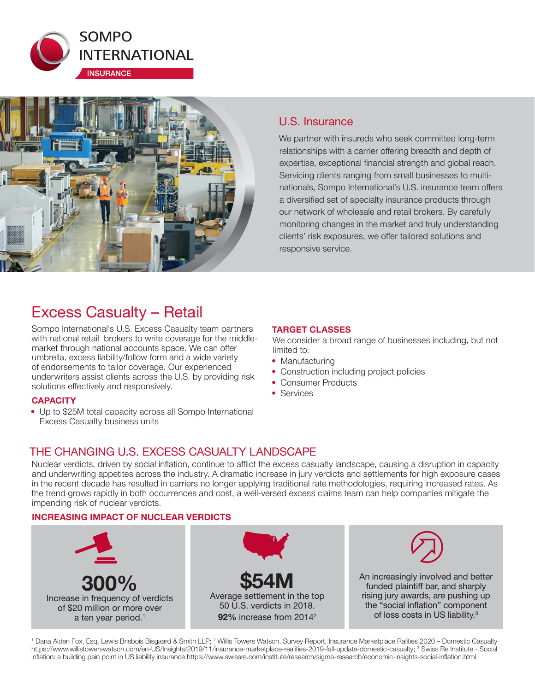



# U.S. Insurance

We partner with insureds who seek committed long-term relationships with a carrier offering breadth and depth of expertise, exceptional financial strength and global reach. Servicing clients ranging from small businesses to multinationals, Sompo International's U.S. insurance team offers a diversified set of specialty insurance products through our network of wholesale and retail brokers. By carefully monitoring changes in the market and truly understanding clients' risk exposures, we offer tailored solutions and responsive service.

# Excess Casualty – Retail

Sompo International's U.S. Excess Casualty team partners with national retail brokers to write coverage for the middlemarket through national accounts space. We can offer umbrella, excess liability/follow form and a wide variety of endorsements to tailor coverage. Our experienced underwriters assist clients across the U.S. by providing risk solutions effectively and responsively.

## **CAPACITY**

• Up to \$25M total capacity across all Sompo International Excess Casualty business units

#### **TARGET CLASSES**

We consider a broad range of businesses including, but not limited to:

- Manufacturing
- Construction including project policies
- Consumer Products
- Services

# THE CHANGING U.S. EXCESS CASUALTY LANDSCAPE

Nuclear verdicts, driven by social inflation, continue to afflict the excess casualty landscape, causing a disruption in capacity and underwriting appetites across the industry. A dramatic increase in jury verdicts and settlements for high exposure cases in the recent decade has resulted in carriers no longer applying traditional rate methodologies, requiring increased rates. As the trend grows rapidly in both occurrences and cost, a well-versed excess claims team can help companies mitigate the impending risk of nuclear verdicts.

## **INCREASING IMPACT OF NUCLEAR VERDICTS**



<sup>1</sup> Dana Alden Fox, Esq. Lewis Brisbois Bisgaard & Smith LLP; <sup>2</sup> Willis Towers Watson, Survey Report, Insurance Marketplace Ralities 2020 – Domestic Casualty https://www.willistowerswatson.com/en-US/Insights/2019/11/insurance-marketplace-realities-2019-fall-update-domestic-casualty; <sup>3</sup> Swiss Re Institute - Social inflation: a building pain point in US liability insurance https://www.swissre.com/institute/research/sigma-research/economic-insights-social-inflation.html